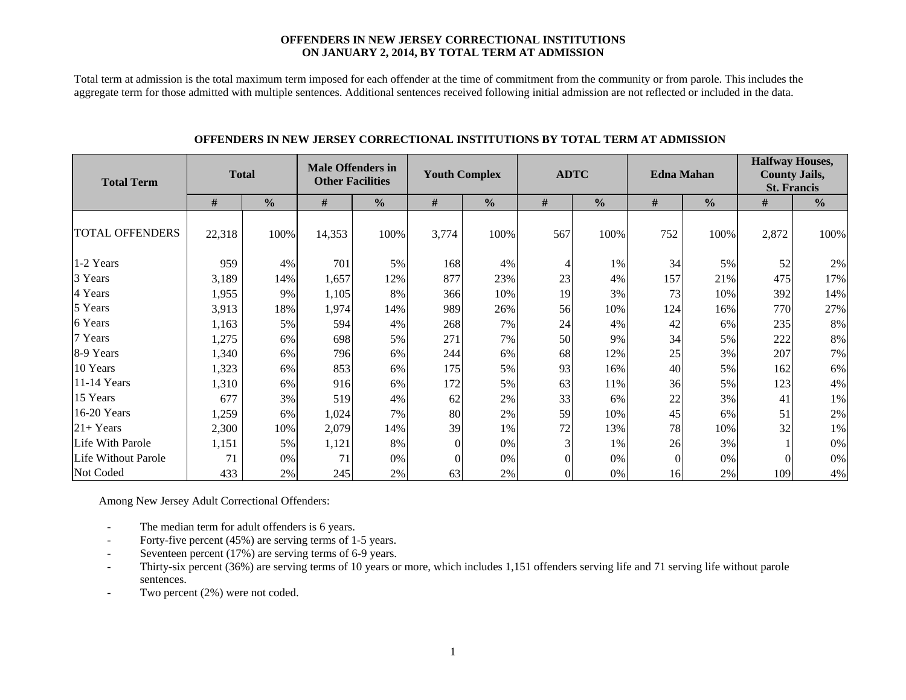#### **OFFENDERS IN NEW JERSEY CORRECTIONAL INSTITUTIONS ON JANUARY 2, 2014, BY TOTAL TERM AT ADMISSION**

Total term at admission is the total maximum term imposed for each offender at the time of commitment from the community or from parole. This includes the aggregate term for those admitted with multiple sentences. Additional sentences received following initial admission are not reflected or included in the data.

| <b>Total Term</b>      | <b>Total</b> |               | <b>Male Offenders in</b><br><b>Other Facilities</b> |               | <b>Youth Complex</b> |               | <b>ADTC</b> |               | <b>Edna Mahan</b> |               | <b>Halfway Houses,</b><br><b>County Jails,</b><br><b>St. Francis</b> |               |  |
|------------------------|--------------|---------------|-----------------------------------------------------|---------------|----------------------|---------------|-------------|---------------|-------------------|---------------|----------------------------------------------------------------------|---------------|--|
|                        | #            | $\frac{0}{0}$ | #                                                   | $\frac{0}{0}$ | #                    | $\frac{0}{0}$ | #           | $\frac{0}{0}$ | $\#$              | $\frac{0}{0}$ | #                                                                    | $\frac{0}{0}$ |  |
| <b>TOTAL OFFENDERS</b> | 22,318       | 100%          | 14,353                                              | 100%          | 3,774                | 100%          | 567         | 100%          | 752               | 100%          | 2,872                                                                | 100%          |  |
| 1-2 Years              | 959          | 4%            | 701                                                 | 5%            | 168                  | 4%            | 4           | 1%            | 34                | 5%            | 52                                                                   | 2%            |  |
| 3 Years                | 3,189        | 14%           | 1,657                                               | 12%           | 877                  | 23%           | 23          | 4%            | 157               | 21%           | 475                                                                  | 17%           |  |
| 4 Years                | 1,955        | 9%            | 1,105                                               | 8%            | 366                  | 10%           | 19          | 3%            | 73                | 10%           | 392                                                                  | 14%           |  |
| 5 Years                | 3,913        | 18%           | 1,974                                               | 14%           | 989                  | 26%           | 56          | 10%           | 124               | 16%           | 770                                                                  | 27%           |  |
| 6 Years                | 1,163        | 5%            | 594                                                 | 4%            | 268                  | 7%            | 24          | 4%            | 42                | 6%            | 235                                                                  | 8%            |  |
| 7 Years                | 1,275        | 6%            | 698                                                 | 5%            | 271                  | 7%            | 50          | 9%            | 34                | 5%            | 222                                                                  | 8%            |  |
| 8-9 Years              | 1,340        | 6%            | 796                                                 | 6%            | 244                  | 6%            | 68          | 12%           | 25                | 3%            | 207                                                                  | 7%            |  |
| 10 Years               | 1,323        | 6%            | 853                                                 | 6%            | 175                  | 5%            | 93          | 16%           | 40                | 5%            | 162                                                                  | 6%            |  |
| 11-14 Years            | 1,310        | 6%            | 916                                                 | 6%            | 172                  | 5%            | 63          | 11%           | 36                | 5%            | 123                                                                  | 4%            |  |
| 15 Years               | 677          | 3%            | 519                                                 | 4%            | 62                   | 2%            | 33          | 6%            | 22                | 3%            | 41                                                                   | 1%            |  |
| 16-20 Years            | 1,259        | 6%            | 1,024                                               | 7%            | 80                   | 2%            | 59          | 10%           | 45                | 6%            | 51                                                                   | 2%            |  |
| $21+Years$             | 2,300        | 10%           | 2,079                                               | 14%           | 39                   | 1%            | 72          | 13%           | 78                | 10%           | 32                                                                   | 1%            |  |
| Life With Parole       | 1,151        | 5%            | 1,121                                               | 8%            | $\theta$             | 0%            | 3           | 1%            | 26                | 3%            |                                                                      | 0%            |  |
| Life Without Parole    | 71           | 0%            | 71                                                  | 0%            | $\theta$             | 0%            | $\Omega$    | 0%            | $\theta$          | 0%            |                                                                      | 0%            |  |
| Not Coded              | 433          | 2%            | 245                                                 | 2%            | 63                   | 2%            | $\theta$    | 0%            | 16                | 2%            | 109                                                                  | 4%            |  |

#### **OFFENDERS IN NEW JERSEY CORRECTIONAL INSTITUTIONS BY TOTAL TERM AT ADMISSION**

Among New Jersey Adult Correctional Offenders:

- The median term for adult offenders is 6 years.
- Forty-five percent (45%) are serving terms of 1-5 years.
- Seventeen percent (17%) are serving terms of 6-9 years.
- Thirty-six percent (36%) are serving terms of 10 years or more, which includes 1,151 offenders serving life and 71 serving life without parole sentences.
- Two percent (2%) were not coded.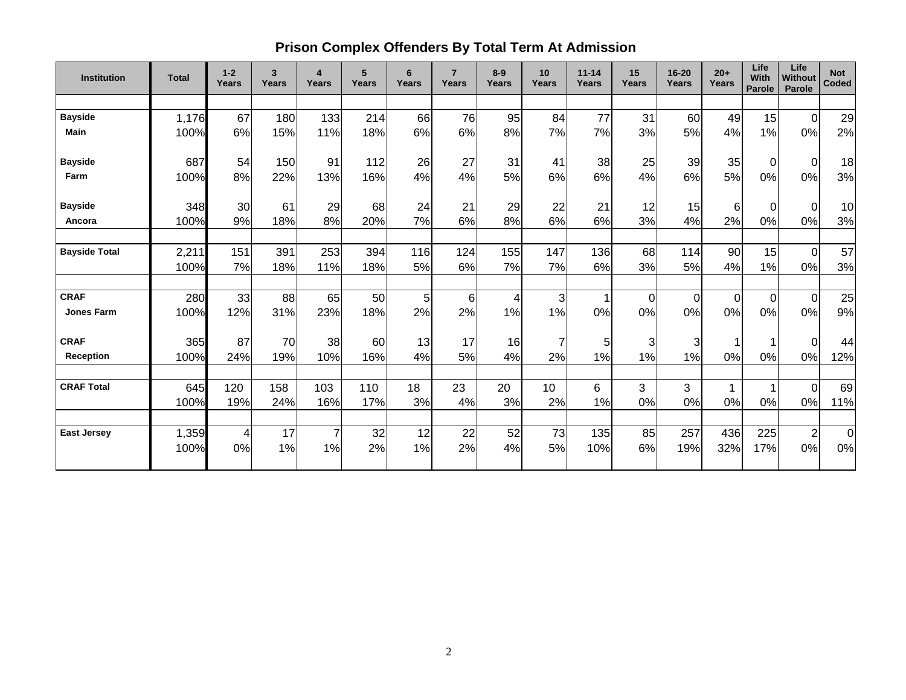# **Prison Complex Offenders By Total Term At Admission**

| <b>Institution</b>   | <b>Total</b> | $1 - 2$<br>Years | 3<br>Years | $\overline{\mathbf{4}}$<br>Years | 5<br><b>Years</b> | 6<br>Years | $\overline{7}$<br>Years | $8-9$<br>Years | 10<br>Years | $11 - 14$<br>Years | 15<br><b>Years</b> | $16 - 20$<br><b>Years</b> | $20+$<br>Years | Life<br>With<br>Parole | Life<br><b>Without</b><br>Parole | <b>Not</b><br><b>Coded</b> |
|----------------------|--------------|------------------|------------|----------------------------------|-------------------|------------|-------------------------|----------------|-------------|--------------------|--------------------|---------------------------|----------------|------------------------|----------------------------------|----------------------------|
|                      |              |                  |            |                                  |                   |            |                         |                |             |                    |                    |                           |                |                        |                                  |                            |
| <b>Bayside</b>       | 1,176        | 67               | 180        | 133                              | 214               | 66         | 76                      | 95             | 84          | 77                 | 31                 | 60                        | 49             | 15                     | $\mathbf 0$                      | 29                         |
| Main                 | 100%         | 6%               | 15%        | 11%                              | 18%               | 6%         | 6%                      | 8%             | 7%          | 7%                 | 3%                 | <b>5%</b>                 | 4%             | 1%                     | 0%                               | 2%                         |
| <b>Bayside</b>       | 687          | 54               | 150        | 91                               | 112               | 26         | 27                      | 31             | 41          | 38                 | 25                 | 39                        | 35             | $\Omega$               | $\Omega$                         | 18                         |
| Farm                 | 100%         | 8%               | 22%        | 13%                              | 16%               | 4%         | 4%                      | 5%             | 6%          | 6%                 | 4%                 | 6%                        | 5%             | $0\%$                  | $0\%$                            | 3%                         |
| <b>Bayside</b>       | 348          | 30               | 61         | 29                               | 68                | 24         | 21                      | 29             | 22          | 21                 | 12                 | 15                        | 6              | $\Omega$               | $\mathbf 0$                      | 10                         |
| Ancora               | 100%         | 9%               | 18%        | 8%                               | 20%               | 7%         | 6%                      | 8%             | 6%          | 6%                 | 3%                 | 4%                        | 2%             | $0\%$                  | 0%                               | 3%                         |
| <b>Bayside Total</b> | 2,211        | 151              | 391        | 253                              | 394               | 116        | 124                     | 155            | 147         | 136                | 68                 | 114                       | 90             | 15                     | $\overline{0}$                   | 57                         |
|                      | 100%         | 7%               | 18%        | 11%                              | 18%               | 5%         | 6%                      | 7%             | 7%          | 6%                 | 3%                 | 5%                        | 4%             | 1%                     | 0%                               | 3%                         |
| <b>CRAF</b>          | 280          | 33               | 88         | 65                               | 50                | 5          | 6                       | 4              | 3           | 1                  | $\Omega$           | $\overline{0}$            | $\Omega$       | $\overline{0}$         | $\overline{0}$                   | 25                         |
| <b>Jones Farm</b>    | 100%         | 12%              | 31%        | 23%                              | 18%               | 2%         | 2%                      | 1%             | 1%          | 0%                 | 0%                 | 0%                        | 0%             | 0%                     | 0%                               | 9%                         |
| <b>CRAF</b>          | 365          | 87               | 70         | 38                               | 60                | 13         | 17                      | 16             | 7           | 5 <sup>1</sup>     | 3                  | $\overline{3}$            |                |                        | $\mathbf 0$                      | 44                         |
| <b>Reception</b>     | 100%         | 24%              | 19%        | 10%                              | 16%               | 4%         | 5%                      | 4%             | 2%          | 1%                 | 1%                 | 1%                        | 0%             | 0%                     | 0%                               | 12%                        |
| <b>CRAF Total</b>    | 645          | 120              | 158        | 103                              | 110               | 18         | 23                      | 20             | 10          | 6                  | 3                  | 3                         | $\mathbf{1}$   | $\mathbf 1$            | $\overline{0}$                   | 69                         |
|                      | 100%         | 19%              | 24%        | 16%                              | 17%               | 3%         | 4%                      | 3%             | 2%          | 1%                 | 0%                 | 0%                        | 0%             | 0%                     | 0%                               | 11%                        |
| <b>East Jersey</b>   | 1,359        | 4                | 17         | $\overline{7}$                   | 32                | 12         | 22                      | 52             | 73          | 135                | 85                 | 257                       | 436            | 225                    | $\overline{2}$                   | $\overline{0}$             |
|                      | 100%         | 0%               | 1%         | 1%                               | 2%                | 1%         | 2%                      | 4%             | 5%          | 10%                | 6%                 | 19%                       | 32%            | 17%                    | 0%                               | 0%                         |
|                      |              |                  |            |                                  |                   |            |                         |                |             |                    |                    |                           |                |                        |                                  |                            |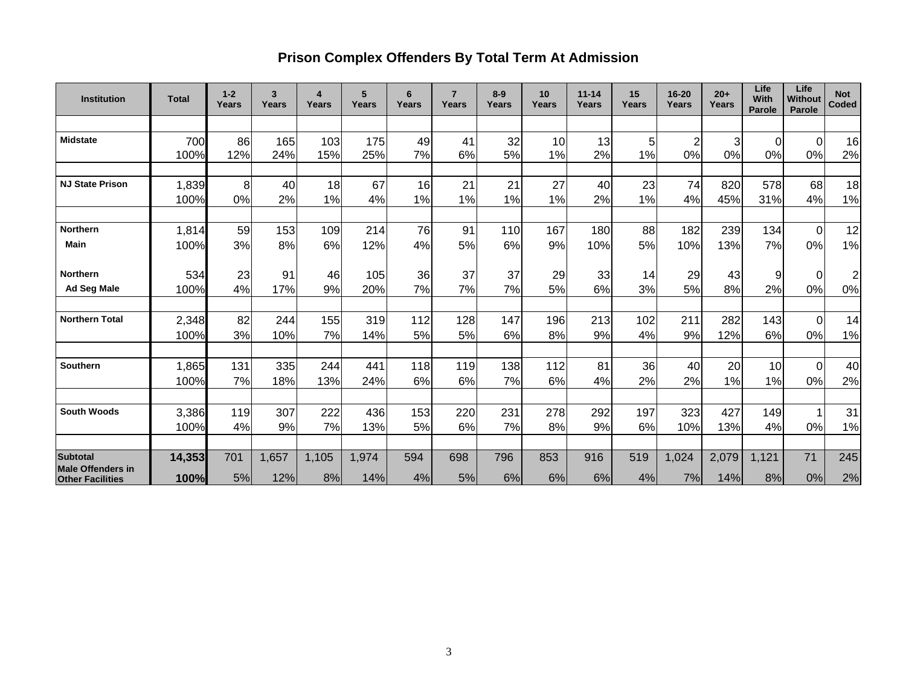# **Prison Complex Offenders By Total Term At Admission**

| <b>Institution</b>                          | <b>Total</b> | $1 - 2$<br>Years | 3<br>Years | 4<br>Years | 5<br>Years | 6<br>Years | $\overline{7}$<br>Years | $8-9$<br>Years | 10<br>Years | $11 - 14$<br>Years | 15<br>Years | 16-20<br>Years | $20+$<br>Years | Life<br>With<br><b>Parole</b> | Life<br><b>Without</b><br>Parole | <b>Not</b><br>Coded |
|---------------------------------------------|--------------|------------------|------------|------------|------------|------------|-------------------------|----------------|-------------|--------------------|-------------|----------------|----------------|-------------------------------|----------------------------------|---------------------|
|                                             |              |                  |            |            |            |            |                         |                |             |                    |             |                |                |                               |                                  |                     |
| <b>Midstate</b>                             | 700          | 86               | 165        | 103        | 175        | 49         | 41                      | 32             | 10          | 13                 | 5           | $\overline{2}$ | 3              | 0                             | $\Omega$                         | 16                  |
|                                             | 100%         | 12%              | 24%        | 15%        | 25%        | 7%         | 6%                      | 5%             | 1%          | 2%                 | 1%          | 0%             | 0%             | 0%                            | 0%                               | 2%                  |
|                                             |              |                  |            |            |            |            |                         |                |             |                    |             |                |                |                               |                                  |                     |
| <b>NJ State Prison</b>                      | 1,839        | 8                | 40         | 18         | 67         | 16         | 21                      | 21             | 27          | 40                 | 23          | 74             | 820            | 578                           | 68                               | 18                  |
|                                             | 100%         | 0%               | 2%         | 1%         | 4%         | 1%         | 1%                      | 1%             | 1%          | 2%                 | 1%          | 4%             | 45%            | 31%                           | 4%                               | 1%                  |
| <b>Northern</b>                             | 1,814        | 59               | 153        | 109        | 214        | 76         | 91                      | 110            | 167         | 180                | 88          | 182            | 239            | 134                           | $\mathbf 0$                      | 12                  |
| <b>Main</b>                                 | 100%         | 3%               | 8%         | 6%         | 12%        | 4%         | 5%                      | 6%             | 9%          | 10%                | 5%          | 10%            | 13%            | 7%                            | 0%                               | 1%                  |
| <b>Northern</b>                             | 534          | 23               | 91         | 46         | 105        | 36         | 37                      | 37             | 29          | 33                 | 14          | 29             | 43             | 9                             | 0                                | $\overline{2}$      |
| <b>Ad Seg Male</b>                          | 100%         | 4%               | 17%        | 9%         | 20%        | 7%         | 7%                      | 7%             | 5%          | 6%                 | 3%          | 5%             | 8%             | 2%                            | 0%                               | 0%                  |
| <b>Northern Total</b>                       | 2,348        | 82               | 244        | 155        | 319        | 112        | 128                     | 147            | 196         | 213                | 102         | 211            | 282            | 143                           | $\Omega$                         | 14                  |
|                                             | 100%         | 3%               | 10%        | 7%         | 14%        | 5%         | 5%                      | 6%             | 8%          | 9%                 | 4%          | 9%             | 12%            | 6%                            | 0%                               | 1%                  |
| <b>Southern</b>                             | 1,865        | 131              | 335        | 244        | 441        | 118        | 119                     | 138            | 112         | 81                 | 36          | 40             | 20             | 10                            | $\Omega$                         | 40                  |
|                                             | 100%         | 7%               | 18%        | 13%        | 24%        | 6%         | 6%                      | 7%             | 6%          | 4%                 | 2%          | 2%             | 1%             | 1%                            | 0%                               | 2%                  |
|                                             |              |                  |            |            |            |            |                         |                |             |                    |             |                |                |                               |                                  |                     |
| <b>South Woods</b>                          | 3,386        | 119              | 307        | 222        | 436        | 153        | 220                     | 231            | 278         | 292                | 197         | 323            | 427            | 149                           |                                  | 31                  |
|                                             | 100%         | 4%               | 9%         | 7%         | 13%        | 5%         | 6%                      | 7%             | 8%          | 9%                 | 6%          | 10%            | 13%            | 4%                            | 0%                               | 1%                  |
|                                             |              |                  |            |            |            |            |                         |                |             |                    |             |                |                |                               |                                  |                     |
| <b>Subtotal</b><br><b>Male Offenders in</b> | 14,353       | 701              | 1,657      | 1,105      | 1,974      | 594        | 698                     | 796            | 853         | 916                | 519         | 1,024          | 2,079          | 1,121                         | 71                               | 245                 |
| <b>Other Facilities</b>                     | 100%         | 5%               | 12%        | 8%         | 14%        | 4%         | 5%                      | 6%             | 6%          | 6%                 | 4%          | 7%             | 14%            | 8%                            | 0%                               | 2%                  |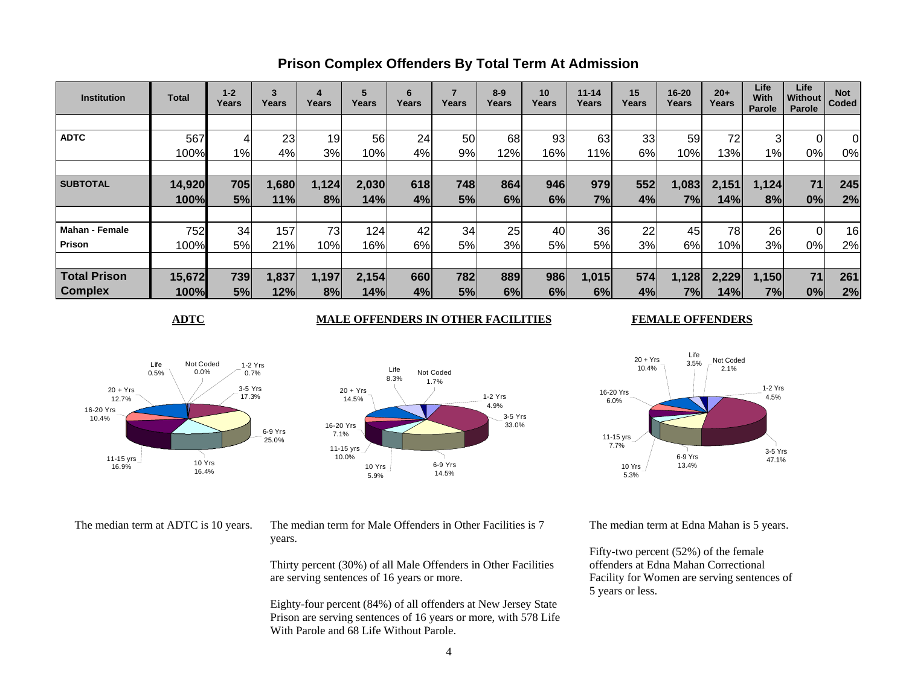| <b>Institution</b>    | Total  | $1 - 2$<br>Years | 3<br>Years | 4<br>Years | 5<br>Years | 6<br>Years | Years | $8-9$<br>Years | 10<br>Years | $11 - 14$<br>Years | 15<br>Years | 16-20<br>Years | $20+$<br>Years | Life<br>With<br>Parole | Life<br>Without<br>Parole | <b>Not</b><br>Coded |
|-----------------------|--------|------------------|------------|------------|------------|------------|-------|----------------|-------------|--------------------|-------------|----------------|----------------|------------------------|---------------------------|---------------------|
|                       |        |                  |            |            |            |            |       |                |             |                    |             |                |                |                        |                           |                     |
| <b>ADTC</b>           | 567    |                  | 23         | 19         | 56         | 24         | 50    | 68             | 93          | 63                 | 33          | 59             | 72             |                        | 01                        | $\overline{0}$      |
|                       | 100%   | $1\%$            | 4%         | 3%         | 10%        | 4%         | 9%    | 12%            | 16%         | 11%                | 6%          | 10%            | 13%            | $1\%$                  | 0%                        | 0%                  |
|                       |        |                  |            |            |            |            |       |                |             |                    |             |                |                |                        |                           |                     |
| <b>SUBTOTAL</b>       | 14,920 | 705              | 1,680      | 1,124      | 2,030      | 618        | 748   | 864            | 946         | 979                | 552         | 1,083          | 2,151          | 1,124                  | 71                        | 245                 |
|                       | 100%   | 5%               | 11%        | 8%         | 14%        | 4%         | 5%    | 6%             | 6%          | 7%                 | 4%          | 7%I            | 14%            | 8%                     | 0%                        | 2%                  |
|                       |        |                  |            |            |            |            |       |                |             |                    |             |                |                |                        |                           |                     |
| <b>Mahan - Female</b> | 752    | 34               | 157        | 73         | 124        | 42         | 34    | 25             | 40          | 36                 | 22          | 45             | 78             | 26                     | 01                        | 16                  |
| Prison                | 100%   | 5%               | 21%        | 10%        | 16%        | 6%         | 5%    | 3%             | 5%          | 5%                 | 3%          | 6%             | 10%l           | 3%                     | 0%                        | 2%                  |
|                       |        |                  |            |            |            |            |       |                |             |                    |             |                |                |                        |                           |                     |
| <b>Total Prison</b>   | 15,672 | 739              | 1,837      | 1,197      | 2,154      | 660        | 782   | 889            | 986         | 1,015              | 574         | 1,128          | 2,229          | 1,150                  | 71                        | 261                 |
| <b>Complex</b>        | 100%   | 5%               | 12%        | 8%         | 14%        | 4%         | 5%    | 6%             | 6%          | 6%                 | 4%          | 7%             | 14%            | 7%                     | 0%                        | 2%                  |

### **Prison Complex Offenders By Total Term At Admission**

#### **ADTC** MALE OFFENDERS IN OTHER FACILITIES

#### **FEMALE OFFENDERS**







The median term at ADTC is 10 years. The median term for Male Offenders in Other Facilities is 7 years.

> Thirty percent (30%) of all Male Offenders in Other Facilities are serving sentences of 16 years or more.

Eighty-four percent (84%) of all offenders at New Jersey State Prison are serving sentences of 16 years or more, with 578 Life With Parole and 68 Life Without Parole.

The median term at Edna Mahan is 5 years.

Fifty-two percent (52%) of the female offenders at Edna Mahan Correctional Facility for Women are serving sentences of 5 years or less.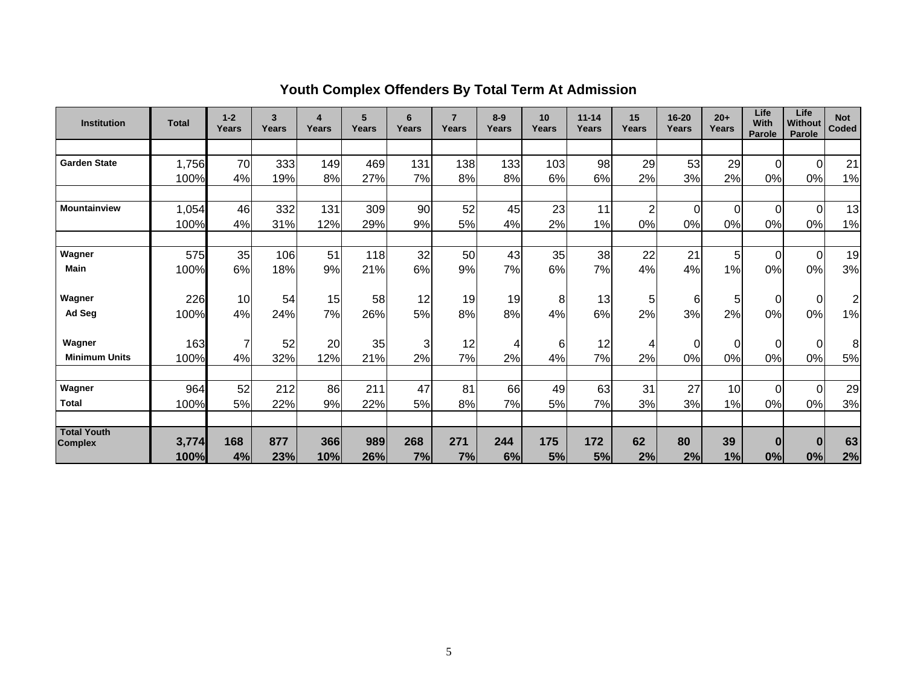| <b>Institution</b>                   | <b>Total</b>  | $1 - 2$<br>Years | 3<br>Years | 4<br>Years | 5<br>Years | 6<br>Years     | $\overline{7}$<br>Years | $8-9$<br><b>Years</b> | 10<br>Years | $11 - 14$<br>Years | 15<br>Years    | $16 - 20$<br><b>Years</b> | $20+$<br>Years | Life<br><b>With</b><br>Parole | Life<br>Without<br>Parole | <b>Not</b><br>Coded |
|--------------------------------------|---------------|------------------|------------|------------|------------|----------------|-------------------------|-----------------------|-------------|--------------------|----------------|---------------------------|----------------|-------------------------------|---------------------------|---------------------|
|                                      |               |                  |            |            |            |                |                         |                       |             |                    |                |                           |                |                               |                           |                     |
| <b>Garden State</b>                  | 1,756         | 70               | 333        | 149        | 469        | 131            | 138                     | 133                   | 103         | 98                 | 29             | 53                        | 29             | $\Omega$                      | $\Omega$                  | 21                  |
|                                      | 100%          | 4%               | 19%        | 8%         | 27%        | 7%             | 8%                      | 8%                    | 6%          | 6%                 | 2%             | 3%                        | 2%             | 0%                            | 0%                        | 1%                  |
|                                      |               |                  |            |            |            |                |                         |                       |             |                    |                |                           |                |                               |                           |                     |
| <b>Mountainview</b>                  | 1,054         | 46               | 332        | 131        | 309        | 90             | 52                      | 45                    | 23          | 11                 | $\overline{2}$ | $\overline{0}$            | $\Omega$       | $\Omega$                      | $\Omega$                  | 13                  |
|                                      | 100%          | 4%               | 31%        | 12%        | 29%        | 9%             | 5%                      | 4%                    | 2%          | 1%                 | 0%             | 0%                        | 0%             | 0%                            | 0%                        | 1%                  |
|                                      |               |                  |            |            |            |                |                         |                       |             |                    |                |                           |                |                               |                           |                     |
| Wagner                               | 575           | 35               | 106        | 51         | 118        | 32             | 50                      | 43                    | 35          | 38                 | 22             | 21                        | 5 <sup>1</sup> | $\Omega$                      | $\Omega$                  | 19                  |
| Main                                 | 100%          | 6%               | 18%        | 9%         | 21%        | 6%             | 9%                      | 7%                    | 6%          | 7%                 | 4%             | 4%                        | 1%             | 0%                            | 0%                        | 3%                  |
| Wagner                               | 226           | 10               | 54         | 15         | 58         | 12             | 19                      | 19                    | 8           | 13                 | 5 <sub>5</sub> | $6 \mid$                  | 5 <sub>l</sub> | $\Omega$                      | $\Omega$                  | $\mathbf 2$         |
| Ad Seg                               | 100%          | 4%               | 24%        | 7%         | 26%        | 5%             | 8%                      | 8%                    | 4%          | 6%                 | 2%             | 3%                        | 2%             | 0%                            | 0%                        | 1%                  |
| Wagner                               | 163           | $\overline{7}$   | 52         | 20         | 35         | $\overline{3}$ | 12                      | 4                     | 6           | 12                 | 4              | $\overline{0}$            | $\overline{0}$ | 0                             | $\Omega$                  | 8                   |
| <b>Minimum Units</b>                 | 100%          | 4%               | 32%        | 12%        | 21%        | 2%             | 7%                      | 2%                    | 4%          | 7%                 | 2%             | 0%                        | 0%             | 0%                            | 0%                        | 5%                  |
|                                      |               |                  |            |            |            |                |                         |                       |             |                    |                |                           |                |                               |                           |                     |
| Wagner                               | 964           | 52               | 212        | 86         | 211        | 47             | 81                      | 66                    | 49          | 63                 | 31             | 27                        | 10             | $\Omega$                      | $\Omega$                  | 29                  |
| <b>Total</b>                         | 100%          | 5%               | 22%        | 9%         | 22%        | 5%             | 8%                      | 7%                    | 5%          | 7%                 | 3%             | 3%                        | 1%             | 0%                            | 0%                        | 3%                  |
|                                      |               |                  |            |            |            |                |                         |                       |             |                    |                |                           |                |                               |                           |                     |
| <b>Total Youth</b><br><b>Complex</b> | 3,774<br>100% | 168<br>4%        | 877<br>23% | 366<br>10% | 989<br>26% | 268<br>7%      | 271<br>7%               | 244<br>6%             | 175<br>5%   | 172<br>5%          | 62<br>2%       | 80<br>2%                  | 39<br>1%       | $\bf{0}$<br>0%                | $\bf{0}$<br>0%            | 63<br>2%            |

# **Youth Complex Offenders By Total Term At Admission**